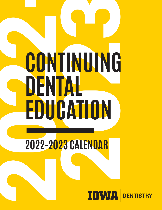## **2022-20 23 CALENDAR CONTINUING DENTAL EDUCATION ---------------**

**2022-2023 CALENDAR**

#### **IOWA DENTISTRY**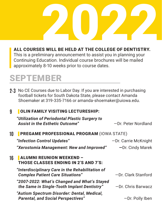# S WILL BE HELD AT THE COLLEGE OF DENTISTRY.

#### ALL COURSES WILL BE HELD AT THE COLLEGE OF DENTISTRY.

This is a preliminary announcement to assist you in planning your Continuing Education. Individual course brochures will be mailed approximately 8-10 weeks prior to course dates.

### SEPTEMBER

**2-3** No CE Courses due to Labor Day. If you are interested in purchasing football tickets for South Dakota State, please contact Amanda Shoemaker at 319-335-7166 or amanda-shoemaker@uiowa.edu.

#### **9** | OLIN FAMILY VISITING LECTURESHIP:

| "Utilization of Periodontal Plastic Surgery to<br><b>Assist in the Esthetic Outcome"</b>    | -Dr. Peter Nordland  |
|---------------------------------------------------------------------------------------------|----------------------|
| <b>PREGAME PROFESSIONAL PROGRAM (IOWA STATE)</b><br>10                                      |                      |
| "Infection Control Updates"                                                                 | -Dr. Carrie McKnight |
| "Xerostomia Management: New and Improved"                                                   | -Dr. Cindy Marek     |
| <b>ALUMNI REUNION WEEKEND -</b><br>THOSE CLASSES ENDING IN 2'S AND 7'S:                     |                      |
| "Interdisciplinary Care in the Rehabilitation of<br><b>Complex Patient Care Situations"</b> | -Dr. Clark Stanford  |
| "2007-2022: What's Changed and What's Stayed<br>the Same in Single-Tooth Implant Dentistry" | -Dr. Chris Barwacz   |
| "Autism Spectrum Disorder: Dental, Medical,<br><b>Parental, and Social Perspectives"</b>    | -Dr. Polly Iben      |
|                                                                                             |                      |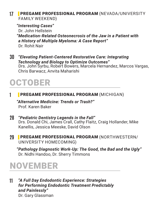#### **17** | PREGAME PROFESSIONAL PROGRAM (NEVADA/UNIVERSITY FAMILY WEEKEND)

*"Interesting Cases"* 

Dr. John Hellstein *"Medication-Related Osteonecrosis of the Jaw in a Patient with a History of Multiple Myeloma: A Case Report"*  Dr. Rohit Nair

**30** *"Elevating Patient-Centered Restorative Care: Integrating Technology and Biology to Optimize Outcomes"*  Drs. John Syrbu, Robert Bowers, Marcela Hernandez, Marcos Vargas, Chris Barwacz, Anvita Maharishi

## OCTOBER

**1** | PREGAME PROFESSIONAL PROGRAM (MICHIGAN)

*"Alternative Medicine: Trends or Trash?"* Prof. Karen Baker

- **28** *"Pediatric Dentistry Legends in the Fall"* Drs. Donald Chi, James Crall, Cathy Flaitz, Craig Hollander, Mike Kanellis, Jessica Meeske, David Olson
- **29** | PREGAME PROFESSIONAL PROGRAM (NORTHWESTERN/ UNIVERSITY HOMECOMING)

*"Pathology Diagnostic Work-Up: The Good, the Bad and the Ugly"* Dr. Nidhi Handoo, Dr. Sherry Timmons

## NOVEMBER

**11** *"A Full Day Endodontic Experience: Strategies for Performing Endodontic Treatment Predictably and Painlessly"* Dr. Gary Glassman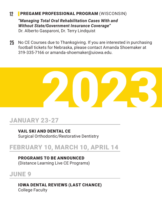#### **12** | PREGAME PROFESSIONAL PROGRAM (WISCONSIN)

*"Managing Total Oral Rehabilitation Cases With and Without State/Government Insurance Coverage"*  Dr. Alberto Gasparoni, Dr. Terry Lindquist

**25** No CE Courses due to Thanksgiving. If you are interested in purchasing football tickets for Nebraska, please contact Amanda Shoemaker at 319-335-7166 or amanda-shoemaker@uiowa.edu.



#### JANUARY 23-27

VAIL SKI AND DENTAL CE Surgical Orthodontic/Restorative Dentistry

#### FEBRUARY 10, MARCH 10, APRIL 14

PROGRAMS TO BE ANNOUNCED (Distance Learning Live CE Programs)

#### JUNE 9

IOWA DENTAL REVIEWS (LAST CHANCE) College Faculty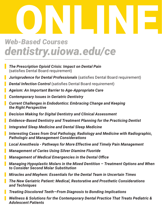## ONLINE *dentistry.uiowa.edu/ce Web-Based Courses*

- | *The Prescription Opioid Crisis: Impact on Dental Pain*  (satisfies Dental Board requirement)
- | *Jurisprudence for Dental Professionals* (satisfies Dental Board requirement)
- **Dental Infection Control** (satisfies Dental Board requirement)
- | *Ageism: An Important Barrier to Age-Appropriate Care*
- | *Contemporary Issues in Geriatric Dentistry*
- | *Current Challenges in Endodontics: Embracing Change and Keeping the Right Perspective*
- | *Decision Making for Digital Dentistry and Clinical Assessment*
- | *Evidence-Based Dentistry and Treatment Planning for the Practicing Dentist*
- | *Integrated Sleep Medicine and Dental Sleep Medicine*
- | *Interesting Cases from Oral Pathology, Radiology and Medicine with Radiographic, Pathologic and Management Considerations*
- | *Local Anesthesia Pathways for More Effective and Timely Pain Management*
- | *Management of Caries Using Silver Diamine Fluoride*
- | *Management of Medical Emergencies in the Dental Office*
- | *Managing Hypoplastic Molars in the Mixed Dentition Treatment Options and When to Consider Second Molar Substitution*
- | *Miracles and Mayhem: Essentials for the Dental Team in Uncertain Times*
- | *The New Geriatric Patient: Medical, Restorative and Prosthetic Considerations and Techniques*
- | *Treating Discolored Teeth—From Diagnosis to Bonding Implications*

| *Wellness & Solutions for the Contemporary Dental Practice That Treats Pediatric & Adolescent Patients*